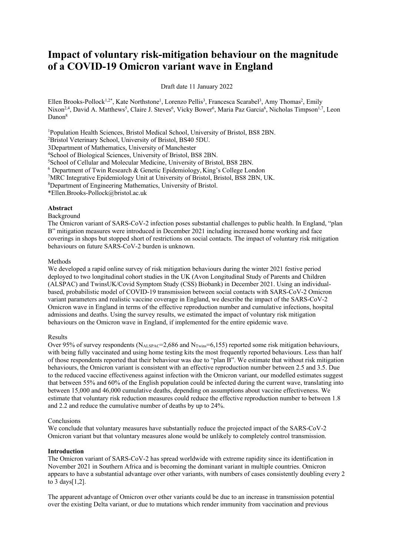# **Impact of voluntary risk-mitigation behaviour on the magnitude of a COVID-19 Omicron variant wave in England**

Draft date 11 January 2022

Ellen Brooks-Pollock<sup>1,2\*</sup>, Kate Northstone<sup>1</sup>, Lorenzo Pellis<sup>3</sup>, Francesca Scarabel<sup>3</sup>, Amy Thomas<sup>2</sup>, Emily Nixon<sup>2,4</sup>, David A. Matthews<sup>5</sup>, Claire J. Steves<sup>6</sup>, Vicky Bower<sup>6</sup>, Maria Paz Garcia<sup>6</sup>, Nicholas Timpson<sup>1,7</sup>, Leon Danon<sup>8</sup>

<sup>1</sup>Population Health Sciences, Bristol Medical School, University of Bristol, BS8 2BN.

2 Bristol Veterinary School, University of Bristol, BS40 5DU.

3Department of Mathematics, University of Manchester

4 School of Biological Sciences, University of Bristol, BS8 2BN.

5 School of Cellular and Molecular Medicine, University of Bristol, BS8 2BN.

<sup>6</sup> Department of Twin Research & Genetic Epidemiology, King's College London

<sup>7</sup>MRC Integrative Epidemiology Unit at University of Bristol, Bristol, BS8 2BN, UK.<br><sup>8</sup>Department of Engineering Mathematics, University of Bristol

Department of Engineering Mathematics, University of Bristol.

\*Ellen.Brooks-Pollock@bristol.ac.uk

# **Abstract**

#### Background

The Omicron variant of SARS-CoV-2 infection poses substantial challenges to public health. In England, "plan B" mitigation measures were introduced in December 2021 including increased home working and face coverings in shops but stopped short of restrictions on social contacts. The impact of voluntary risk mitigation behaviours on future SARS-CoV-2 burden is unknown.

## Methods

We developed a rapid online survey of risk mitigation behaviours during the winter 2021 festive period deployed to two longitudinal cohort studies in the UK (Avon Longitudinal Study of Parents and Children (ALSPAC) and TwinsUK/Covid Symptom Study (CSS) Biobank) in December 2021. Using an individualbased, probabilistic model of COVID-19 transmission between social contacts with SARS-CoV-2 Omicron variant parameters and realistic vaccine coverage in England, we describe the impact of the SARS-CoV-2 Omicron wave in England in terms of the effective reproduction number and cumulative infections, hospital admissions and deaths. Using the survey results, we estimated the impact of voluntary risk mitigation behaviours on the Omicron wave in England, if implemented for the entire epidemic wave.

# Results

Over 95% of survey respondents (N<sub>ALSPAC</sub>=2,686 and N<sub>Twins</sub>=6,155) reported some risk mitigation behaviours, with being fully vaccinated and using home testing kits the most frequently reported behaviours. Less than half of those respondents reported that their behaviour was due to "plan B". We estimate that without risk mitigation behaviours, the Omicron variant is consistent with an effective reproduction number between 2.5 and 3.5. Due to the reduced vaccine effectiveness against infection with the Omicron variant, our modelled estimates suggest that between 55% and 60% of the English population could be infected during the current wave, translating into between 15,000 and 46,000 cumulative deaths, depending on assumptions about vaccine effectiveness. We estimate that voluntary risk reduction measures could reduce the effective reproduction number to between 1.8 and 2.2 and reduce the cumulative number of deaths by up to 24%.

# Conclusions

We conclude that voluntary measures have substantially reduce the projected impact of the SARS-CoV-2 Omicron variant but that voluntary measures alone would be unlikely to completely control transmission.

# **Introduction**

The Omicron variant of SARS-CoV-2 has spread worldwide with extreme rapidity since its identification in November 2021 in Southern Africa and is becoming the dominant variant in multiple countries. Omicron appears to have a substantial advantage over other variants, with numbers of cases consistently doubling every 2 to 3 days[1,2].

The apparent advantage of Omicron over other variants could be due to an increase in transmission potential over the existing Delta variant, or due to mutations which render immunity from vaccination and previous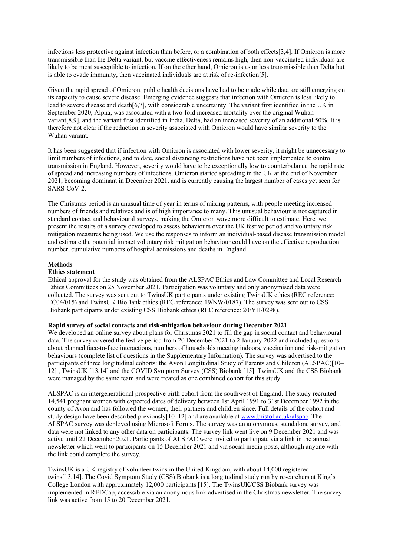infections less protective against infection than before, or a combination of both effects[3,4]. If Omicron is more transmissible than the Delta variant, but vaccine effectiveness remains high, then non-vaccinated individuals are likely to be most susceptible to infection. If on the other hand, Omicron is as or less transmissible than Delta but is able to evade immunity, then vaccinated individuals are at risk of re-infection[5].

Given the rapid spread of Omicron, public health decisions have had to be made while data are still emerging on its capacity to cause severe disease. Emerging evidence suggests that infection with Omicron is less likely to lead to severe disease and death[6,7], with considerable uncertainty. The variant first identified in the UK in September 2020, Alpha, was associated with a two-fold increased mortality over the original Wuhan variant[8,9], and the variant first identified in India, Delta, had an increased severity of an additional 50%. It is therefore not clear if the reduction in severity associated with Omicron would have similar severity to the Wuhan variant.

It has been suggested that if infection with Omicron is associated with lower severity, it might be unnecessary to limit numbers of infections, and to date, social distancing restrictions have not been implemented to control transmission in England. However, severity would have to be exceptionally low to counterbalance the rapid rate of spread and increasing numbers of infections. Omicron started spreading in the UK at the end of November 2021, becoming dominant in December 2021, and is currently causing the largest number of cases yet seen for SARS-CoV-2.

The Christmas period is an unusual time of year in terms of mixing patterns, with people meeting increased numbers of friends and relatives and is of high importance to many. This unusual behaviour is not captured in standard contact and behavioural surveys, making the Omicron wave more difficult to estimate. Here, we present the results of a survey developed to assess behaviours over the UK festive period and voluntary risk mitigation measures being used. We use the responses to inform an individual-based disease transmission model and estimate the potential impact voluntary risk mitigation behaviour could have on the effective reproduction number, cumulative numbers of hospital admissions and deaths in England.

# **Methods**

# **Ethics statement**

Ethical approval for the study was obtained from the ALSPAC Ethics and Law Committee and Local Research Ethics Committees on 25 November 2021. Participation was voluntary and only anonymised data were collected. The survey was sent out to TwinsUK participants under existing TwinsUK ethics (REC reference: EC04/015) and TwinsUK BioBank ethics (REC reference: 19/NW/0187). The survey was sent out to CSS Biobank participants under existing CSS Biobank ethics (REC reference: 20/YH/0298).

# **Rapid survey of social contacts and risk-mitigation behaviour during December 2021**

We developed an online survey about plans for Christmas 2021 to fill the gap in social contact and behavioural data. The survey covered the festive period from 20 December 2021 to 2 January 2022 and included questions about planned face-to-face interactions, numbers of households meeting indoors, vaccination and risk-mitigation behaviours (complete list of questions in the Supplementary Information). The survey was advertised to the participants of three longitudinal cohorts: the Avon Longitudinal Study of Parents and Children (ALSPAC)[10– 12] , TwinsUK [13,14] and the COVID Symptom Survey (CSS) Biobank [15]. TwinsUK and the CSS Biobank were managed by the same team and were treated as one combined cohort for this study.

ALSPAC is an intergenerational prospective birth cohort from the southwest of England. The study recruited 14,541 pregnant women with expected dates of delivery between 1st April 1991 to 31st December 1992 in the county of Avon and has followed the women, their partners and children since. Full details of the cohort and study design have been described previously[10–12] and are available at www.bristol.ac.uk/alspac. The ALSPAC survey was deployed using Microsoft Forms. The survey was an anonymous, standalone survey, and data were not linked to any other data on participants. The survey link went live on 9 December 2021 and was active until 22 December 2021. Participants of ALSPAC were invited to participate via a link in the annual newsletter which went to participants on 15 December 2021 and via social media posts, although anyone with the link could complete the survey.

TwinsUK is a UK registry of volunteer twins in the United Kingdom, with about 14,000 registered twins[13,14]. The Covid Symptom Study (CSS) Biobank is a longitudinal study run by researchers at King's College London with approximately 12,000 participants [15]. The TwinsUK/CSS Biobank survey was implemented in REDCap, accessible via an anonymous link advertised in the Christmas newsletter. The survey link was active from 15 to 20 December 2021.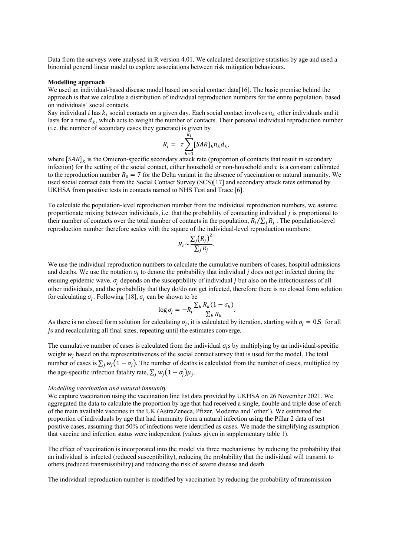Data from the surveys were analysed in R version 4.01. We calculated descriptive statistics by age and used a binomial general linear model to explore associations between risk mitigation behaviours.

#### **Modelling approach**

We used an individual-based disease model based on social contact data[16]. The basic premise behind the approach is that we calculate a distribution of individual reproduction numbers for the entire population, based on individuals' social contacts.

Say individual *i* has  $k_i$  social contacts on a given day. Each social contact involves  $n_k$  other individuals and it lasts for a time  $d_k$ , which acts to weight the number of contacts. Their personal individual reproduction number (i.e. the number of secondary cases they generate) is given by

$$
R_i = \tau \sum_{k=1}^{k_i} [SAR]_k n_k d_k,
$$

where  $[*SAR*]$ <sub>k</sub> is the Omicron-specific secondary attack rate (proportion of contacts that result in secondary infection) for the setting of the social contact, either household or non-household and  $\tau$  is a constant calibrated to the reproduction number  $R_0 = 7$  for the Delta variant in the absence of vaccination or natural immunity. We used social contact data from the Social Contact Survey (SCS)[17] and secondary attack rates estimated by UKHSA from positive tests in contacts named to NHS Test and Trace [6].

To calculate the population-level reproduction number from the individual reproduction numbers, we assume proportionate mixing between individuals, i.e. that the probability of contacting individual is proportional to their number of contacts over the total number of contacts in the population,  $R_i/\sum_i R_i$ . The population-level reproduction number therefore scales with the square of the individual-level reproduction numbers:

$$
R_t \sim \frac{\sum_j (R_j)^2}{\sum_j R_j}.
$$

We use the individual reproduction numbers to calculate the cumulative numbers of cases, hospital admissions and deaths. We use the notation  $\sigma_i$  to denote the probability that individual *j* does not get infected during the ensuing epidemic wave.  $\sigma_i$  depends on the susceptibility of individual *j* but also on the infectiousness of all other individuals, and the probability that they do/do not get infected, therefore there is no closed form solution for calculating  $\sigma_i$ . Following [18],  $\sigma_i$  can be shown to be

$$
\log \sigma_j = -R_j \frac{\sum_k R_k (1 - \sigma_k)}{\sum_k R_k}.
$$

As there is no closed form solution for calculating  $\sigma_i$ , it is calculated by iteration, starting with  $\sigma_i = 0.5$  for all js and recalculating all final sizes, repeating until the estimates converge.

The cumulative number of cases is calculated from the individual  $\sigma_i$ s by multiplying by an individual-specific weight  $w_i$  based on the representativeness of the social contact survey that is used for the model. The total number of cases is  $\sum_j w_j(1 - \sigma_j)$ . The number of deaths is calculated from the number of cases, multiplied by the age-specific infection fatality rate,  $\sum_i w_i (1 - \sigma_i) \mu_i$ .

#### *Modelling vaccination and natural immunity*

We capture vaccination using the vaccination line list data provided by UKHSA on 26 November 2021. We aggregated the data to calculate the proportion by age that had received a single, double and triple dose of each of the main available vaccines in the UK (AstraZeneca, Pfizer, Moderna and 'other'). We estimated the proportion of individuals by age that had immunity from a natural infection using the Pillar 2 data of test positive cases, assuming that 50% of infections were identified as cases. We made the simplifying assumption that vaccine and infection status were independent (values given in supplementary table 1).

The effect of vaccination is incorporated into the model via three mechanisms: by reducing the probability that an individual is infected (reduced susceptibility), reducing the probability that the individual will transmit to others (reduced transmissibility) and reducing the risk of severe disease and death.

The individual reproduction number is modified by vaccination by reducing the probability of transmission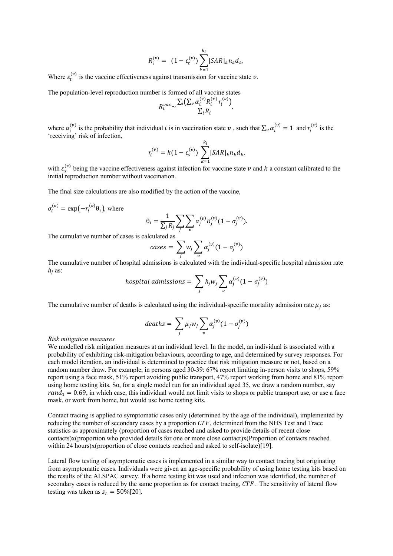$$
R_i^{(v)} = (1 - \varepsilon_t^{(v)}) \sum_{k=1}^{k_i} [SAR]_k n_k d_k,
$$

Where  $\varepsilon_t^{(v)}$  is the vaccine effectiveness against transmission for vaccine state  $v$ .

The population-level reproduction number is formed of all vaccine states

$$
R_t^{vac} \sim \frac{\sum_i (\sum_{v} \alpha_i^{(v)} R_i^{(v)} r_i^{(v)})}{\sum_i R_i},
$$

where  $\alpha_i^{(v)}$  is the probability that individual *i* is in vaccination state  $v$ , such that  $\sum_v \alpha_i^{(v)} = 1$  and  $r_i^{(v)}$  is the 'receiving' risk of infection,

$$
r_i^{(v)} = k(1 - \varepsilon_s^{(v)}) \sum_{k=1}^{k_i} [SAR]_k n_k d_k,
$$

with  $\varepsilon_s^{(v)}$  being the vaccine effectiveness against infection for vaccine state  $v$  and  $k$  a constant calibrated to the initial reproduction number without vaccination.

The final size calculations are also modified by the action of the vaccine,

$$
\sigma_i^{(v)} = \exp(-r_i^{(v)}\theta_i), \text{ where}
$$

$$
\theta_i = \frac{1}{\sum_j R_j} \sum_j \sum_v \alpha_j^{(v)} R_j^{(v)} (1 - \sigma_j^{(v)}).
$$

The cumulative number of cases is calculated as

$$
cases = \sum_j w_j \sum_v \alpha_j^{(v)} (1 - \sigma_j^{(v)})
$$

The cumulative number of hospital admissions is calculated with the individual-specific hospital admission rate  $h_i$  as:

$$
hospital\ admissions = \sum_j h_j w_j \sum_v \alpha_j^{(v)} (1 - \sigma_j^{(v)})
$$

The cumulative number of deaths is calculated using the individual-specific mortality admission rate  $\mu_i$  as:

$$
deaths = \sum_{j} \mu_j w_j \sum_{v} \alpha_j^{(v)} (1 - \sigma_j^{(v)})
$$

#### *Risk mitigation measures*

We modelled risk mitigation measures at an individual level. In the model, an individual is associated with a probability of exhibiting risk-mitigation behaviours, according to age, and determined by survey responses. For each model iteration, an individual is determined to practice that risk mitigation measure or not, based on a random number draw. For example, in persons aged 30-39: 67% report limiting in-person visits to shops, 59% report using a face mask, 51% report avoiding public transport, 47% report working from home and 81% report using home testing kits. So, for a single model run for an individual aged 35, we draw a random number, say  $rand_1 = 0.69$ , in which case, this individual would not limit visits to shops or public transport use, or use a face mask, or work from home, but would use home testing kits.

Contact tracing is applied to symptomatic cases only (determined by the age of the individual), implemented by reducing the number of secondary cases by a proportion  $CTF$ , determined from the NHS Test and Trace statistics as approximately (proportion of cases reached and asked to provide details of recent close contacts)x(proportion who provided details for one or more close contact)x(Proportion of contacts reached within 24 hours)x(proportion of close contacts reached and asked to self-isolate)[19].

Lateral flow testing of asymptomatic cases is implemented in a similar way to contact tracing but originating from asymptomatic cases. Individuals were given an age-specific probability of using home testing kits based on the results of the ALSPAC survey. If a home testing kit was used and infection was identified, the number of secondary cases is reduced by the same proportion as for contact tracing,  $CTF$ . The sensitivity of lateral flow testing was taken as  $s_L = 50\%[20]$ .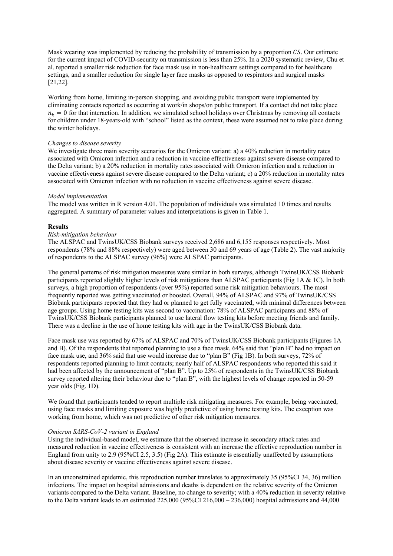Mask wearing was implemented by reducing the probability of transmission by a proportion  $\mathcal{CS}$ . Our estimate for the current impact of COVID-security on transmission is less than 25%. In a 2020 systematic review, Chu et al. reported a smaller risk reduction for face mask use in non-healthcare settings compared to for healthcare settings, and a smaller reduction for single layer face masks as opposed to respirators and surgical masks [21,22].

Working from home, limiting in-person shopping, and avoiding public transport were implemented by eliminating contacts reported as occurring at work/in shops/on public transport. If a contact did not take place  $n<sub>k</sub> = 0$  for that interaction. In addition, we simulated school holidays over Christmas by removing all contacts for children under 18-years-old with "school" listed as the context, these were assumed not to take place during the winter holidays.

## *Changes to disease severity*

We investigate three main severity scenarios for the Omicron variant: a) a 40% reduction in mortality rates associated with Omicron infection and a reduction in vaccine effectiveness against severe disease compared to the Delta variant; b) a 20% reduction in mortality rates associated with Omicron infection and a reduction in vaccine effectiveness against severe disease compared to the Delta variant; c) a 20% reduction in mortality rates associated with Omicron infection with no reduction in vaccine effectiveness against severe disease.

#### *Model implementation*

The model was written in R version 4.01. The population of individuals was simulated 10 times and results aggregated. A summary of parameter values and interpretations is given in Table 1.

## **Results**

# *Risk-mitigation behaviour*

The ALSPAC and TwinsUK/CSS Biobank surveys received 2,686 and 6,155 responses respectively. Most respondents (78% and 88% respectively) were aged between 30 and 69 years of age (Table 2). The vast majority of respondents to the ALSPAC survey (96%) were ALSPAC participants.

The general patterns of risk mitigation measures were similar in both surveys, although TwinsUK/CSS Biobank participants reported slightly higher levels of risk mitigations than ALSPAC participants (Fig 1A & 1C). In both surveys, a high proportion of respondents (over 95%) reported some risk mitigation behaviours. The most frequently reported was getting vaccinated or boosted. Overall, 94% of ALSPAC and 97% of TwinsUK/CSS Biobank participants reported that they had or planned to get fully vaccinated, with minimal differences between age groups. Using home testing kits was second to vaccination: 78% of ALSPAC participants and 88% of TwinsUK/CSS Biobank participants planned to use lateral flow testing kits before meeting friends and family. There was a decline in the use of home testing kits with age in the TwinsUK/CSS Biobank data.

Face mask use was reported by 67% of ALSPAC and 70% of TwinsUK/CSS Biobank participants (Figures 1A and B). Of the respondents that reported planning to use a face mask, 64% said that "plan B" had no impact on face mask use, and 36% said that use would increase due to "plan B" (Fig 1B). In both surveys, 72% of respondents reported planning to limit contacts; nearly half of ALSPAC respondents who reported this said it had been affected by the announcement of "plan B". Up to 25% of respondents in the TwinsUK/CSS Biobank survey reported altering their behaviour due to "plan B", with the highest levels of change reported in 50-59 year olds (Fig. 1D).

We found that participants tended to report multiple risk mitigating measures. For example, being vaccinated, using face masks and limiting exposure was highly predictive of using home testing kits. The exception was working from home, which was not predictive of other risk mitigation measures.

#### *Omicron SARS-CoV-2 variant in England*

Using the individual-based model, we estimate that the observed increase in secondary attack rates and measured reduction in vaccine effectiveness is consistent with an increase the effective reproduction number in England from unity to 2.9 (95%CI 2.5, 3.5) (Fig 2A). This estimate is essentially unaffected by assumptions about disease severity or vaccine effectiveness against severe disease.

In an unconstrained epidemic, this reproduction number translates to approximately 35 (95%CI 34, 36) million infections. The impact on hospital admissions and deaths is dependent on the relative severity of the Omicron variants compared to the Delta variant. Baseline, no change to severity; with a 40% reduction in severity relative to the Delta variant leads to an estimated  $225,000$  ( $95\%$ CI  $216,000 - 236,000$ ) hospital admissions and 44,000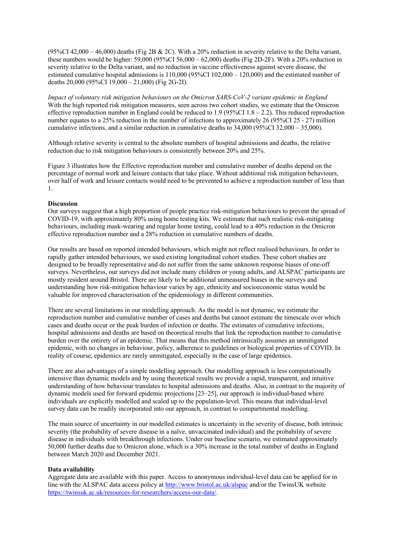(95%CI 42,000 – 46,000) deaths (Fig 2B & 2C). With a 20% reduction in severity relative to the Delta variant, these numbers would be higher: 59,000 (95%CI 56,000 – 62,000) deaths (Fig 2D-2F). With a 20% reduction in severity relative to the Delta variant, and no reduction in vaccine effectiveness against severe disease, the estimated cumulative hospital admissions is 110,000 (95%CI 102,000 – 120,000) and the estimated number of deaths 20,000 (95%CI 19,000 – 21,000) (Fig 2G-2I).

*Impact of voluntary risk mitigation behaviours on the Omicron SARS-CoV-2 variant epidemic in England* With the high reported risk mitigation measures, seen across two cohort studies, we estimate that the Omicron effective reproduction number in England could be reduced to 1.9 (95%CI 1.8 – 2.2). This reduced reproduction number equates to a 25% reduction in the number of infections to approximately 26 (95%CI 25 - 27) million cumulative infections, and a similar reduction in cumulative deaths to 34,000 (95%CI 32,000 – 35,000).

Although relative severity is central to the absolute numbers of hospital admissions and deaths, the relative reduction due to risk mitigation behaviours is consistently between 20% and 25%.

Figure 3 illustrates how the Effective reproduction number and cumulative number of deaths depend on the percentage of normal work and leisure contacts that take place. Without additional risk mitigation behaviours, over half of work and leisure contacts would need to be prevented to achieve a reproduction number of less than 1.

#### **Discussion**

Our surveys suggest that a high proportion of people practice risk-mitigation behaviours to prevent the spread of COVID-19, with approximately 80% using home testing kits. We estimate that such realistic risk-mitigating behaviours, including mask-wearing and regular home testing, could lead to a 40% reduction in the Omicron effective reproduction number and a 28% reduction in cumulative numbers of deaths.

Our results are based on reported intended behaviours, which might not reflect realised behaviours. In order to rapidly gather intended behaviours, we used existing longitudinal cohort studies. These cohort studies are designed to be broadly representative and do not suffer from the same unknown response biases of one-off surveys. Nevertheless, our surveys did not include many children or young adults, and ALSPAC participants are mostly resident around Bristol. There are likely to be additional unmeasured biases in the surveys and understanding how risk-mitigation behaviour varies by age, ethnicity and socioeconomic status would be valuable for improved characterisation of the epidemiology in different communities.

There are several limitations in our modelling approach. As the model is not dynamic, we estimate the reproduction number and cumulative number of cases and deaths but cannot estimate the timescale over which cases and deaths occur or the peak burden of infection or deaths. The estimates of cumulative infections, hospital admissions and deaths are based on theoretical results that link the reproduction number to cumulative burden over the entirety of an epidemic. That means that this method intrinsically assumes an unmitigated epidemic, with no changes in behaviour, policy, adherence to guidelines or biological properties of COVID. In reality of course, epidemics are rarely unmitigated, especially in the case of large epidemics.

There are also advantages of a simple modelling approach. Our modelling approach is less computationally intensive than dynamic models and by using theoretical results we provide a rapid, transparent, and intuitive understanding of how behaviour translates to hospital admissions and deaths. Also, in contrast to the majority of dynamic models used for forward epidemic projections [23–25], our approach is individual-based where individuals are explicitly modelled and scaled up to the population-level. This means that individual-level survey data can be readily incorporated into our approach, in contrast to compartmental modelling.

The main source of uncertainty in our modelled estimates is uncertainty in the severity of disease, both intrinsic severity (the probability of severe disease in a naïve, unvaccinated individual) and the probability of severe disease in individuals with breakthrough infections. Under our baseline scenario, we estimated approximately 50,000 further deaths due to Omicron alone, which is a 30% increase in the total number of deaths in England between March 2020 and December 2021.

#### **Data availability**

Aggregate data are available with this paper. Access to anonymous individual-level data can be applied for in line with the ALSPAC data access policy at http://www.bristol.ac.uk/alspac and/or the TwinsUK website https://twinsuk.ac.uk/resources-for-researchers/access-our-data/.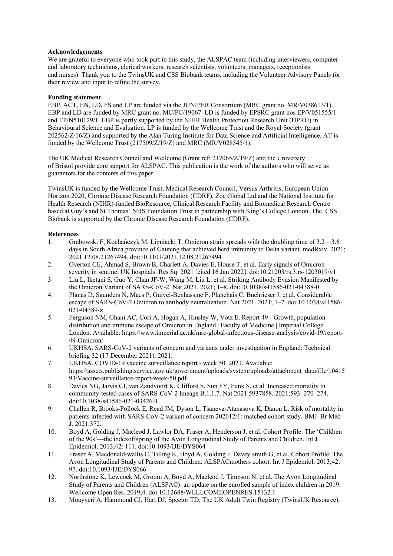# **Acknowledgements**

We are grateful to everyone who took part in this study, the ALSPAC team (including interviewers, computer and laboratory technicians, clerical workers, research scientists, volunteers, managers, receptionists and nurses). Thank you to the TwinsUK and CSS Biobank teams, including the Volunteer Advisory Panels for their review and input to refine the survey.

# **Funding statement**

EBP, ACT, EN, LD, FS and LP are funded via the JUNIPER Consortium (MRC grant no. MR/V038613/1). EBP and LD are funded by MRC grant no. MC/PC/19067. LD is funded by EPSRC grant nos EP/V051555/1 and EP/N510129/1. EBP is partly supported by the NIHR Health Protection Research Unit (HPRU) in Behavioural Science and Evaluation. LP is funded by the Wellcome Trust and the Royal Society (grant 202562/Z/16/Z) and supported by the Alan Turing Institute for Data Science and Artificial Intelligence. AT is funded by the Wellcome Trust (217509/Z/19/Z) and MRC (MR/V028545/1).

The UK Medical Research Council and Wellcome (Grant ref: 217065/Z/19/Z) and the University of Bristol provide core support for ALSPAC. This publication is the work of the authors who will serve as guarantors for the contents of this paper.

TwinsUK is funded by the Wellcome Trust, Medical Research Council, Versus Arthritis, European Union Horizon 2020, Chronic Disease Research Foundation (CDRF), Zoe Global Ltd and the National Institute for Health Research (NIHR)-funded BioResource, Clinical Research Facility and Biomedical Research Centre based at Guy's and St Thomas' NHS Foundation Trust in partnership with King's College London. The CSS Biobank is supported by the Chronic Disease Research Foundation (CDRF).

# **References**

- 1. Grabowski F, Kochańczyk M, Lipniacki T. Omicron strain spreads with the doubling time of 3.2—3.6 days in South Africa province of Gauteng that achieved herd immunity to Delta variant. medRxiv. 2021; 2021.12.08.21267494. doi:10.1101/2021.12.08.21267494
- 2. Overton CE, Ahmad S, Brown B, Charlett A, Davies E, House T, et al. Early signals of Omicron severity in sentinel UK hospitals. Res Sq. 2021 [cited 16 Jan 2022]. doi:10.21203/rs.3.rs-1203019/v1
- 3. Liu L, Iketani S, Guo Y, Chan JF-W, Wang M, Liu L, et al. Striking Antibody Evasion Manifested by the Omicron Variant of SARS-CoV-2. Nat 2021. 2021; 1–8. doi:10.1038/s41586-021-04388-0
- 4. Planas D, Saunders N, Maes P, Guivel-Benhassine F, Planchais C, Buchrieser J, et al. Considerable escape of SARS-CoV-2 Omicron to antibody neutralization. Nat 2021. 2021; 1–7. doi:10.1038/s41586- 021-04389-z
- 5. Ferguson NM, Ghani AC, Cori A, Hogan A, Hinsley W, Votz E. Report 49 Growth, population distribution and immune escape of Omicron in England | Faculty of Medicine | Imperial College London. Available: https://www.imperial.ac.uk/mrc-global-infectious-disease-analysis/covid-19/report-49-Omicron/
- 6. UKHSA. SARS-CoV-2 variants of concern and variants under investigation in England: Technical briefing 32 (17 December 2021). 2021.
- 7. UKHSA. COVID-19 vaccine surveillance report week 50. 2021. Available: https://assets.publishing.service.gov.uk/government/uploads/system/uploads/attachment\_data/file/10415 93/Vaccine-surveillance-report-week-50.pdf
- 8. Davies NG, Jarvis CI, van Zandvoort K, Clifford S, Sun FY, Funk S, et al. Increased mortality in community-tested cases of SARS-CoV-2 lineage B.1.1.7. Nat 2021 5937858. 2021;593: 270–274. doi:10.1038/s41586-021-03426-1
- 9. Challen R, Brooks-Pollock E, Read JM, Dyson L, Tsaneva-Atanasova K, Danon L. Risk of mortality in patients infected with SARS-CoV-2 variant of concern 202012/1: matched cohort study. BMJ Br Med J. 2021;372.
- 10. Boyd A, Golding J, Macleod J, Lawlor DA, Fraser A, Henderson J, et al. Cohort Profile: The 'Children of the 90s'—the indexoffspring of the Avon Longitudinal Study of Parents and Children. Int J Epidemiol. 2013;42: 111. doi:10.1093/IJE/DYS064
- 11. Fraser A, Macdonald-wallis C, Tilling K, Boyd A, Golding J, Davey smith G, et al. Cohort Profile: The Avon Longitudinal Study of Parents and Children: ALSPACmothers cohort. Int J Epidemiol. 2013;42: 97. doi:10.1093/IJE/DYS066
- 12. Northstone K, Lewcock M, Groom A, Boyd A, Macleod J, Timpson N, et al. The Avon Longitudinal Study of Parents and Children (ALSPAC): an update on the enrolled sample of index children in 2019. Wellcome Open Res. 2019;4. doi:10.12688/WELLCOMEOPENRES.15132.1
- 13. Moayyeri A, Hammond CJ, Hart DJ, Spector TD. The UK Adult Twin Registry (TwinsUK Resource).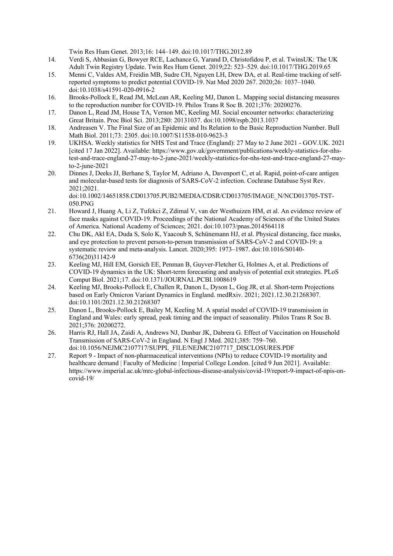Twin Res Hum Genet. 2013;16: 144–149. doi:10.1017/THG.2012.89

- 14. Verdi S, Abbasian G, Bowyer RCE, Lachance G, Yarand D, Christofidou P, et al. TwinsUK: The UK Adult Twin Registry Update. Twin Res Hum Genet. 2019;22: 523–529. doi:10.1017/THG.2019.65
- 15. Menni C, Valdes AM, Freidin MB, Sudre CH, Nguyen LH, Drew DA, et al. Real-time tracking of selfreported symptoms to predict potential COVID-19. Nat Med 2020 267. 2020;26: 1037–1040. doi:10.1038/s41591-020-0916-2
- 16. Brooks-Pollock E, Read JM, McLean AR, Keeling MJ, Danon L. Mapping social distancing measures to the reproduction number for COVID-19. Philos Trans R Soc B. 2021;376: 20200276.
- 17. Danon L, Read JM, House TA, Vernon MC, Keeling MJ. Social encounter networks: characterizing Great Britain. Proc Biol Sci. 2013;280: 20131037. doi:10.1098/rspb.2013.1037
- 18. Andreasen V. The Final Size of an Epidemic and Its Relation to the Basic Reproduction Number. Bull Math Biol. 2011;73: 2305. doi:10.1007/S11538-010-9623-3
- 19. UKHSA. Weekly statistics for NHS Test and Trace (England): 27 May to 2 June 2021 GOV.UK. 2021 [cited 17 Jan 2022]. Available: https://www.gov.uk/government/publications/weekly-statistics-for-nhstest-and-trace-england-27-may-to-2-june-2021/weekly-statistics-for-nhs-test-and-trace-england-27-mayto-2-june-2021
- 20. Dinnes J, Deeks JJ, Berhane S, Taylor M, Adriano A, Davenport C, et al. Rapid, point-of-care antigen and molecular-based tests for diagnosis of SARS-CoV-2 infection. Cochrane Database Syst Rev. 2021;2021.

doi:10.1002/14651858.CD013705.PUB2/MEDIA/CDSR/CD013705/IMAGE\_N/NCD013705-TST-050.PNG

- 21. Howard J, Huang A, Li Z, Tufekci Z, Zdimal V, van der Westhuizen HM, et al. An evidence review of face masks against COVID-19. Proceedings of the National Academy of Sciences of the United States of America. National Academy of Sciences; 2021. doi:10.1073/pnas.2014564118
- 22. Chu DK, Akl EA, Duda S, Solo K, Yaacoub S, Schünemann HJ, et al. Physical distancing, face masks, and eye protection to prevent person-to-person transmission of SARS-CoV-2 and COVID-19: a systematic review and meta-analysis. Lancet. 2020;395: 1973–1987. doi:10.1016/S0140- 6736(20)31142-9
- 23. Keeling MJ, Hill EM, Gorsich EE, Penman B, Guyver-Fletcher G, Holmes A, et al. Predictions of COVID-19 dynamics in the UK: Short-term forecasting and analysis of potential exit strategies. PLoS Comput Biol. 2021;17. doi:10.1371/JOURNAL.PCBI.1008619
- 24. Keeling MJ, Brooks-Pollock E, Challen R, Danon L, Dyson L, Gog JR, et al. Short-term Projections based on Early Omicron Variant Dynamics in England. medRxiv. 2021; 2021.12.30.21268307. doi:10.1101/2021.12.30.21268307
- 25. Danon L, Brooks-Pollock E, Bailey M, Keeling M. A spatial model of COVID-19 transmission in England and Wales: early spread, peak timing and the impact of seasonality. Philos Trans R Soc B. 2021;376: 20200272.
- 26. Harris RJ, Hall JA, Zaidi A, Andrews NJ, Dunbar JK, Dabrera G. Effect of Vaccination on Household Transmission of SARS-CoV-2 in England. N Engl J Med. 2021;385: 759–760. doi:10.1056/NEJMC2107717/SUPPL\_FILE/NEJMC2107717\_DISCLOSURES.PDF
- 27. Report 9 Impact of non-pharmaceutical interventions (NPIs) to reduce COVID-19 mortality and healthcare demand | Faculty of Medicine | Imperial College London. [cited 9 Jun 2021]. Available: https://www.imperial.ac.uk/mrc-global-infectious-disease-analysis/covid-19/report-9-impact-of-npis-oncovid-19/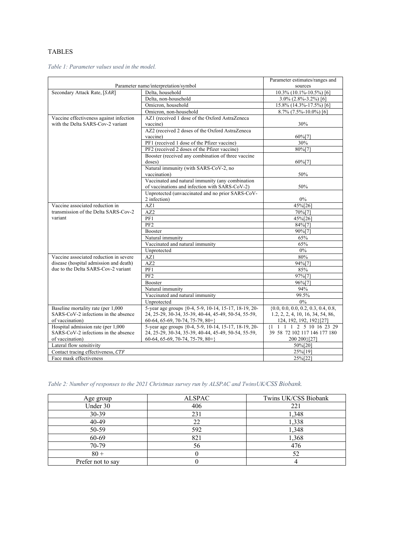# TABLES

*Table 1: Parameter values used in the model.*

|                                         | Parameter estimates/ranges and                        |                                                                                   |  |  |  |
|-----------------------------------------|-------------------------------------------------------|-----------------------------------------------------------------------------------|--|--|--|
| Parameter name/interpretation/symbol    | sources                                               |                                                                                   |  |  |  |
| Secondary Attack Rate, [SAR]            | Delta, household                                      | 10.3% (10.1%-10.5%) [6]                                                           |  |  |  |
|                                         | Delta, non-household                                  | $3.0\%$ (2.8%-3.2%) [6]                                                           |  |  |  |
|                                         | Omicron, household                                    | 15.8% (14.3%-17.5%) [6]                                                           |  |  |  |
|                                         | Omicron, non-household                                | $\overline{8.7\%}$ (7.5%-10.0%) [6]                                               |  |  |  |
| Vaccine effectiveness against infection | AZ1 (received 1 dose of the Oxford AstraZeneca        |                                                                                   |  |  |  |
| with the Delta SARS-Cov-2 variant       | vaccine)                                              | 30%                                                                               |  |  |  |
|                                         | AZ2 (received 2 doses of the Oxford AstraZeneca       |                                                                                   |  |  |  |
|                                         | vaccine)                                              | $60\%$ [7]                                                                        |  |  |  |
|                                         | PF1 (received 1 dose of the Pfizer vaccine)           | 30%                                                                               |  |  |  |
|                                         | PF2 (received 2 doses of the Pfizer vaccine)          | 80%[7]                                                                            |  |  |  |
|                                         | Booster (received any combination of three vaccine    |                                                                                   |  |  |  |
|                                         | doses)                                                | 60%[7]                                                                            |  |  |  |
|                                         | Natural immunity (with SARS-CoV-2, no                 |                                                                                   |  |  |  |
|                                         | vaccination)                                          | 50%                                                                               |  |  |  |
|                                         | Vaccinated and natural immunity (any combination      |                                                                                   |  |  |  |
|                                         | of vaccinations and infection with SARS-CoV-2)        | 50%                                                                               |  |  |  |
|                                         | Unprotected (unvaccinated and no prior SARS-CoV-      |                                                                                   |  |  |  |
|                                         | 2 infection)                                          | $0\%$                                                                             |  |  |  |
| Vaccine associated reduction in         | AZ1                                                   | 45%[26]                                                                           |  |  |  |
| transmission of the Delta SARS-Cov-2    | AZ2                                                   | 70%[7]                                                                            |  |  |  |
| variant                                 | PF1                                                   | 45%[26]                                                                           |  |  |  |
|                                         | PF2                                                   | 84%[7]                                                                            |  |  |  |
|                                         |                                                       |                                                                                   |  |  |  |
|                                         | Booster                                               | 90%[7]                                                                            |  |  |  |
|                                         | Natural immunity                                      | 65%                                                                               |  |  |  |
|                                         | Vaccinated and natural immunity                       | 65%                                                                               |  |  |  |
|                                         | Unprotected                                           | $0\%$                                                                             |  |  |  |
| Vaccine associated reduction in severe  | AZ1                                                   | 80%                                                                               |  |  |  |
| disease (hospital admission and death)  | AZ2                                                   | 94%[7]                                                                            |  |  |  |
| due to the Delta SARS-Cov-2 variant     | PF1                                                   | 85%                                                                               |  |  |  |
|                                         | PF <sub>2</sub>                                       | 97%[7]                                                                            |  |  |  |
|                                         | Booster                                               | 96%[7]                                                                            |  |  |  |
|                                         | Natural immunity                                      | 94%                                                                               |  |  |  |
|                                         | Vaccinated and natural immunity                       | 99.5%                                                                             |  |  |  |
|                                         | Unprotected                                           | $0\%$                                                                             |  |  |  |
| Baseline mortality rate (per 1,000      | 5-year age groups {0-4, 5-9, 10-14, 15-17, 18-19, 20- | $\{0.0, 0.0, 0.0, 0.2, 0.3, 0.4, 0.8,$                                            |  |  |  |
| SARS-CoV-2 infections in the absence    | 24, 25-29, 30-34, 35-39, 40-44, 45-49, 50-54, 55-59,  | 1.2, 2, 2, 4, 10, 16, 34, 54, 86,                                                 |  |  |  |
| of vaccination)                         | $60-64, 65-69, 70-74, 75-79, 80+\}$                   | 124, 192, 192, 192}[27]                                                           |  |  |  |
| Hospital admission rate (per 1,000      | 5-year age groups {0-4, 5-9, 10-14, 15-17, 18-19, 20- | ${1 \quad 1 \quad 1 \quad 1 \quad 2 \quad 5 \quad 10 \quad 16 \quad 23 \quad 29}$ |  |  |  |
| SARS-CoV-2 infections in the absence    | 24, 25-29, 30-34, 35-39, 40-44, 45-49, 50-54, 55-59,  | 39 58 72 102 117 146 177 180                                                      |  |  |  |
| of vaccination)                         | $60-64, 65-69, 70-74, 75-79, 80+\}$                   | 200 200 }[27]                                                                     |  |  |  |
| Lateral flow sensitivity                | 50%[20]                                               |                                                                                   |  |  |  |
| Contact tracing effectiveness, CTF      | 25%[19]                                               |                                                                                   |  |  |  |
| Face mask effectiveness                 | 25%[22]                                               |                                                                                   |  |  |  |

*Table 2: Number of responses to the 2021 Christmas survey run by ALSPAC and TwinsUK/CSS Biobank.*

| Age group         | <b>ALSPAC</b> | Twins UK/CSS Biobank |
|-------------------|---------------|----------------------|
| Under 30          | 406           | 221                  |
| 30-39             | 231           | 1,348                |
| 40-49             | 22            | 1,338                |
| 50-59             | 592           | 1,348                |
| 60-69             | 821           | 1,368                |
| 70-79             | 56            | 476                  |
| $80 +$            |               | 52                   |
| Prefer not to say |               |                      |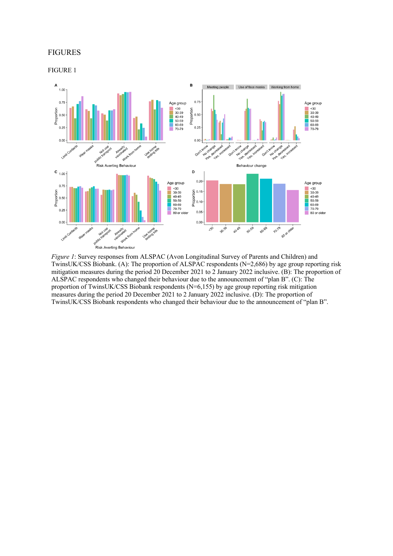# FIGURES

FIGURE 1



*Figure 1*: Survey responses from ALSPAC (Avon Longitudinal Survey of Parents and Children) and TwinsUK/CSS Biobank. (A): The proportion of ALSPAC respondents (N=2,686) by age group reporting risk mitigation measures during the period 20 December 2021 to 2 January 2022 inclusive. (B): The proportion of ALSPAC respondents who changed their behaviour due to the announcement of "plan B". (C): The proportion of TwinsUK/CSS Biobank respondents (N=6,155) by age group reporting risk mitigation measures during the period 20 December 2021 to 2 January 2022 inclusive. (D): The proportion of TwinsUK/CSS Biobank respondents who changed their behaviour due to the announcement of "plan B".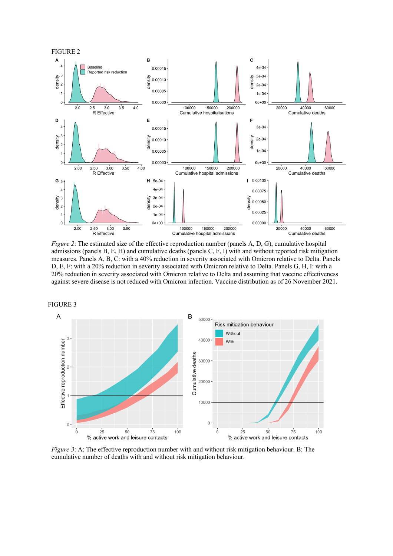

*Figure 2*: The estimated size of the effective reproduction number (panels A, D, G), cumulative hospital admissions (panels B, E, H) and cumulative deaths (panels C, F, I) with and without reported risk mitigation measures. Panels A, B, C: with a 40% reduction in severity associated with Omicron relative to Delta. Panels D, E, F: with a 20% reduction in severity associated with Omicron relative to Delta. Panels G, H, I: with a 20% reduction in severity associated with Omicron relative to Delta and assuming that vaccine effectiveness against severe disease is not reduced with Omicron infection. Vaccine distribution as of 26 November 2021.



*Figure* 3: A: The effective reproduction number with and without risk mitigation behaviour. B: The cumulative number of deaths with and without risk mitigation behaviour.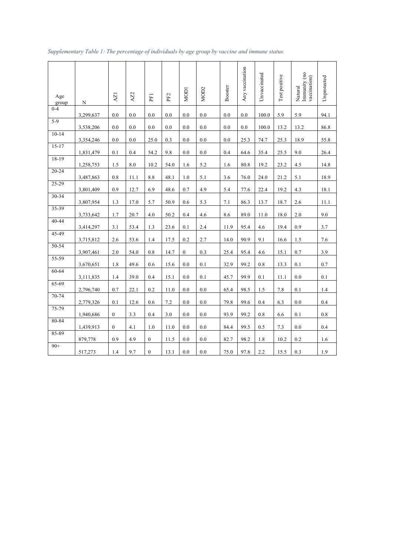| Age<br>group | N         | AZ1              | AZ2  | PF <sub>1</sub>  | PF <sub>2</sub> | MOD1         | MO <sub>D</sub> 2 | Booster | Any vaccination | Unvaccinated | Test positive | Natural<br>Immunity (no<br>vaccination) | Unprotected |
|--------------|-----------|------------------|------|------------------|-----------------|--------------|-------------------|---------|-----------------|--------------|---------------|-----------------------------------------|-------------|
| $0 - 4$      | 3,299,637 | 0.0              | 0.0  | 0.0              | 0.0             | 0.0          | 0.0               | 0.0     | 0.0             | 100.0        | 5.9           | 5.9                                     | 94.1        |
| $5-9$        | 3,538,206 | 0.0              | 0.0  | 0.0              | 0.0             | 0.0          | 0.0               | 0.0     | 0.0             | 100.0        | 13.2          | 13.2                                    | 86.8        |
| $10-14$      | 3,354,246 | 0.0              | 0.0  | 25.0             | 0.3             | 0.0          | 0.0               | 0.0     | 25.3            | 74.7         | 25.3          | 18.9                                    | 55.8        |
| $15-17$      | 1,831,479 | 0.1              | 0.4  | 54.2             | 9.8             | 0.0          | 0.0               | 0.4     | 64.6            | 35.4         | 25.5          | 9.0                                     | 26.4        |
| 18-19        | 1,258,753 | 1.5              | 8.0  | 10.2             | 54.0            | 1.6          | 5.2               | 1.6     | 80.8            | 19.2         | 23.2          | 4.5                                     | 14.8        |
| $20 - 24$    | 3,487,863 | 0.8              | 11.1 | 8.8              | 48.1            | 1.0          | 5.1               | 3.6     | 76.0            | 24.0         | 21.2          | 5.1                                     | 18.9        |
| $25 - 29$    | 3,801,409 | 0.9              | 12.7 | 6.9              | 48.6            | 0.7          | 4.9               | 5.4     | 77.6            | 22.4         | 19.2          | 4.3                                     | 18.1        |
| 30-34        | 3,807,954 | 1.3              | 17.0 | 5.7              | 50.9            | 0.6          | 5.3               | 7.1     | 86.3            | 13.7         | 18.7          | 2.6                                     | 11.1        |
| 35-39        | 3,733,642 | 1.7              | 20.7 | 4.0              | 50.2            | 0.4          | 4.6               | 8.6     | 89.0            | 11.0         | 18.0          | 2.0                                     | 9.0         |
| $40 - 44$    | 3,414,297 | 3.1              | 53.4 | 1.3              | 23.6            | 0.1          | 2.4               | 11.9    | 95.4            | 4.6          | 19.4          | 0.9                                     | 3.7         |
| 45-49        | 3,715,812 | 2.6              | 53.6 | 1.4              | 17.5            | 0.2          | 2.7               | 14.0    | 90.9            | 9.1          | 16.6          | 1.5                                     | 7.6         |
| $50 - 54$    | 3,907,461 | 2.0              | 54.0 | 0.8              | 14.7            | $\mathbf{0}$ | 0.3               | 25.4    | 95.4            | 4.6          | 15.1          | 0.7                                     | 3.9         |
| 55-59        | 3,670,651 | 1.8              | 49.6 | 0.6              | 15.6            | 0.0          | 0.1               | 32.9    | 99.2            | 0.8          | 13.3          | 0.1                                     | 0.7         |
| 60-64        | 3,111,835 | 1.4              | 39.0 | 0.4              | 15.1            | 0.0          | 0.1               | 45.7    | 99.9            | 0.1          | 11.1          | 0.0                                     | 0.1         |
| 65-69        | 2,796,740 | 0.7              | 22.1 | 0.2              | 11.0            | 0.0          | 0.0               | 65.4    | 98.5            | 1.5          | 7.8           | 0.1                                     | 1.4         |
| 70-74        | 2,779,326 | 0.1              | 12.6 | 0.6              | 7.2             | 0.0          | 0.0               | 79.8    | 99.6            | 0.4          | 6.3           | 0.0                                     | 0.4         |
| 75-79        | 1,940,686 | $\boldsymbol{0}$ | 3.3  | 0.4              | 3.0             | 0.0          | 0.0               | 93.9    | 99.2            | 0.8          | 6.6           | 0.1                                     | 0.8         |
| 80-84        | 1,439,913 | $\mathbf{0}$     | 4.1  | 1.0              | 11.0            | 0.0          | 0.0               | 84.4    | 99.5            | 0.5          | 7.3           | 0.0                                     | 0.4         |
| 85-89        | 879,778   | 0.9              | 4.9  | $\boldsymbol{0}$ | 11.5            | 0.0          | 0.0               | 82.7    | 98.2            | 1.8          | 10.2          | 0.2                                     | 1.6         |
| $90+$        | 517,273   | 1.4              | 9.7  | $\boldsymbol{0}$ | 13.1            | 0.0          | 0.0               | 75.0    | 97.8            | 2.2          | 15.5          | 0.3                                     | 1.9         |

# *Supplementary Table 1: The percentage of individuals by age group by vaccine and immune status.*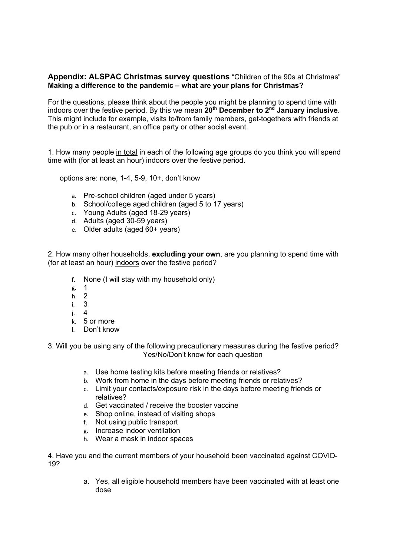# **Appendix: ALSPAC Christmas survey questions** "Children of the 90s at Christmas" **Making a difference to the pandemic – what are your plans for Christmas?**

For the questions, please think about the people you might be planning to spend time with indoors over the festive period. By this we mean **20th December to 2nd January inclusive**. This might include for example, visits to/from family members, get-togethers with friends at the pub or in a restaurant, an office party or other social event.

1. How many people in total in each of the following age groups do you think you will spend time with (for at least an hour) indoors over the festive period.

options are: none, 1-4, 5-9, 10+, don't know

- a. Pre-school children (aged under 5 years)
- b. School/college aged children (aged 5 to 17 years)
- c. Young Adults (aged 18-29 years)
- d. Adults (aged 30-59 years)
- e. Older adults (aged 60+ years)

2. How many other households, **excluding your own**, are you planning to spend time with (for at least an hour) indoors over the festive period?

- f. None (I will stay with my household only)
- g. 1
- h. 2
- i. 3
- j. 4
- k. 5 or more
- l. Don't know

3. Will you be using any of the following precautionary measures during the festive period? Yes/No/Don't know for each question

- a. Use home testing kits before meeting friends or relatives?
- b. Work from home in the days before meeting friends or relatives?
- c. Limit your contacts/exposure risk in the days before meeting friends or relatives?
- d. Get vaccinated / receive the booster vaccine
- e. Shop online, instead of visiting shops
- f. Not using public transport
- g. Increase indoor ventilation
- h. Wear a mask in indoor spaces

4. Have you and the current members of your household been vaccinated against COVID-19?

> a. Yes, all eligible household members have been vaccinated with at least one dose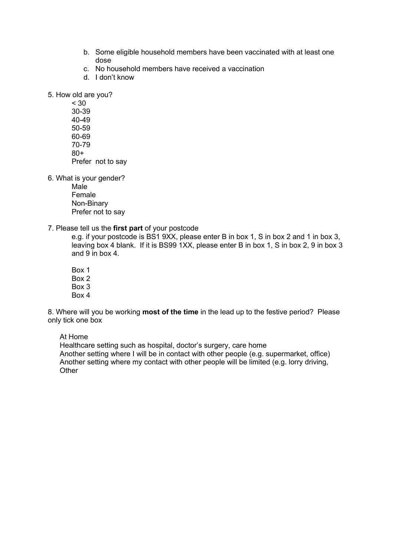- b. Some eligible household members have been vaccinated with at least one dose
- c. No household members have received a vaccination
- d. I don't know

5. How old are you?

< 30 30-39 40-49 50-59 60-69 70-79 80+ Prefer not to say

6. What is your gender?

Male Female Non-Binary Prefer not to say

7. Please tell us the **first part** of your postcode

e.g. if your postcode is BS1 9XX, please enter B in box 1, S in box 2 and 1 in box 3, leaving box 4 blank. If it is BS99 1XX, please enter B in box 1, S in box 2, 9 in box 3 and 9 in box 4.

Box 1 Box 2 Box 3 Box 4

8. Where will you be working **most of the time** in the lead up to the festive period? Please only tick one box

At Home

Healthcare setting such as hospital, doctor's surgery, care home Another setting where I will be in contact with other people (e.g. supermarket, office) Another setting where my contact with other people will be limited (e.g. lorry driving, **Other**